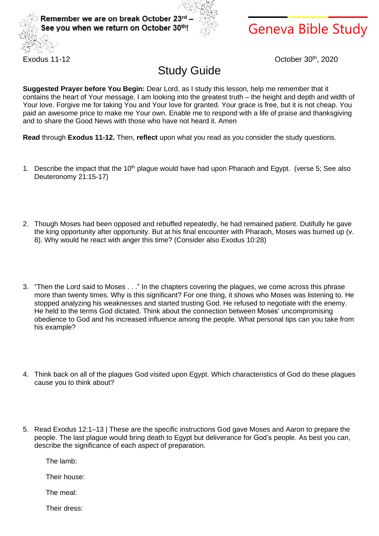



## Geneva Bible Study

Exodus 11-12

October 30th, 2020

## Study Guide

**Suggested Prayer before You Begin:** Dear Lord, as I study this lesson, help me remember that it contains the heart of Your message. I am looking into the greatest truth – the height and depth and width of Your love. Forgive me for taking You and Your love for granted. Your grace is free, but it is not cheap. You paid an awesome price to make me Your own. Enable me to respond with a life of praise and thanksgiving and to share the Good News with those who have not heard it. Amen

**Read** through **Exodus 11-12.** Then, **reflect** upon what you read as you consider the study questions.

- 1. Describe the impact that the 10<sup>th</sup> plague would have had upon Pharaoh and Egypt. (verse 5; See also Deuteronomy 21:15-17)
- 2. Though Moses had been opposed and rebuffed repeatedly, he had remained patient. Dutifully he gave the king opportunity after opportunity. But at his final encounter with Pharaoh, Moses was burned up (v. 8). Why would he react with anger this time? (Consider also Exodus 10:28)
- 3. "Then the Lord said to Moses . . ." In the chapters covering the plagues, we come across this phrase more than twenty times. Why is this significant? For one thing, it shows who Moses was listening to. He stopped analyzing his weaknesses and started trusting God. He refused to negotiate with the enemy. He held to the terms God dictated. Think about the connection between Moses' uncompromising obedience to God and his increased influence among the people. What personal tips can you take from his example?
- 4. Think back on all of the plagues God visited upon Egypt. Which characteristics of God do these plagues cause you to think about?
- 5. Read Exodus 12:1–13 | These are the specific instructions God gave Moses and Aaron to prepare the people. The last plague would bring death to Egypt but deliverance for God's people. As best you can, describe the significance of each aspect of preparation.

The lamb:

Their house:

The meal:

Their dress: